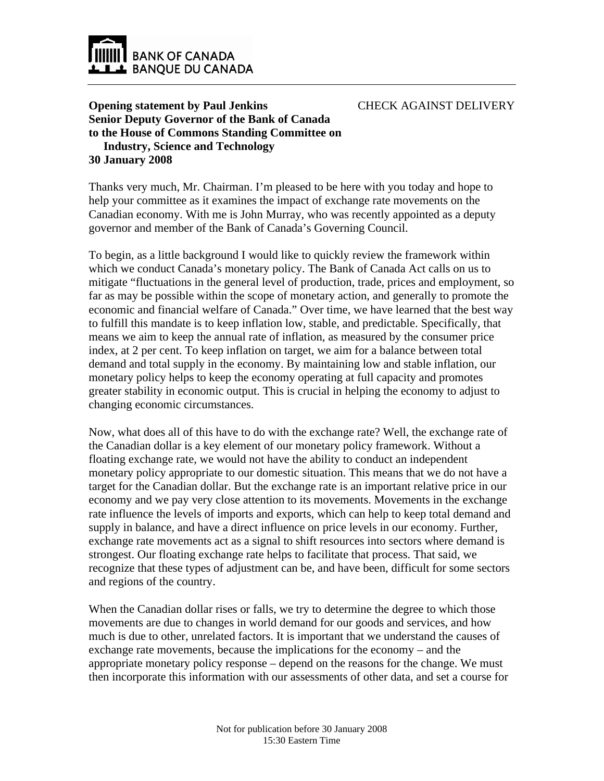

CHECK AGAINST DELIVERY

## **Opening statement by Paul Jenkins Senior Deputy Governor of the Bank of Canada to the House of Commons Standing Committee on Industry, Science and Technology 30 January 2008**

Thanks very much, Mr. Chairman. I'm pleased to be here with you today and hope to help your committee as it examines the impact of exchange rate movements on the Canadian economy. With me is John Murray, who was recently appointed as a deputy governor and member of the Bank of Canada's Governing Council.

To begin, as a little background I would like to quickly review the framework within which we conduct Canada's monetary policy. The Bank of Canada Act calls on us to mitigate "fluctuations in the general level of production, trade, prices and employment, so far as may be possible within the scope of monetary action, and generally to promote the economic and financial welfare of Canada." Over time, we have learned that the best way to fulfill this mandate is to keep inflation low, stable, and predictable. Specifically, that means we aim to keep the annual rate of inflation, as measured by the consumer price index, at 2 per cent. To keep inflation on target, we aim for a balance between total demand and total supply in the economy. By maintaining low and stable inflation, our monetary policy helps to keep the economy operating at full capacity and promotes greater stability in economic output. This is crucial in helping the economy to adjust to changing economic circumstances.

Now, what does all of this have to do with the exchange rate? Well, the exchange rate of the Canadian dollar is a key element of our monetary policy framework. Without a floating exchange rate, we would not have the ability to conduct an independent monetary policy appropriate to our domestic situation. This means that we do not have a target for the Canadian dollar. But the exchange rate is an important relative price in our economy and we pay very close attention to its movements. Movements in the exchange rate influence the levels of imports and exports, which can help to keep total demand and supply in balance, and have a direct influence on price levels in our economy. Further, exchange rate movements act as a signal to shift resources into sectors where demand is strongest. Our floating exchange rate helps to facilitate that process. That said, we recognize that these types of adjustment can be, and have been, difficult for some sectors and regions of the country.

When the Canadian dollar rises or falls, we try to determine the degree to which those movements are due to changes in world demand for our goods and services, and how much is due to other, unrelated factors. It is important that we understand the causes of exchange rate movements, because the implications for the economy – and the appropriate monetary policy response – depend on the reasons for the change. We must then incorporate this information with our assessments of other data, and set a course for